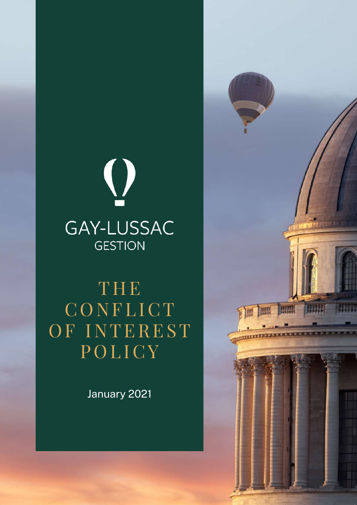

THE **CONFLICT** OF INTEREST **POLICY** 

January 2021

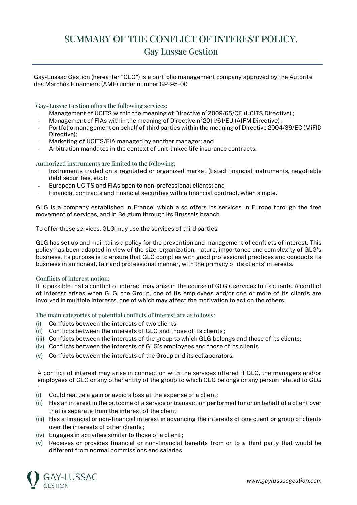## SUMMARY OF THE CONFLICT OF INTEREST POLICY. Gay Lussac Gestion

Gay-Lussac Gestion (hereafter "GLG") is a portfolio management company approved by the Autorité des Marchés Financiers (AMF) under number GP-95-00

Gay-Lussac Gestion offers the following services:

- Management of UCITS within the meaning of Directive n°2009/65/CE (UCITS Directive) ;
- Management of FIAs within the meaning of Directive n°2011/61/EU (AIFM Directive);
- Portfolio management on behalf of third parties within the meaning of Directive 2004/39/EC (MiFID Directive);
- Marketing of UCITS/FIA managed by another manager; and
- Arbitration mandates in the context of unit-linked life insurance contracts.

## Authorized instruments are limited to the following:

- Instruments traded on a regulated or organized market (listed financial instruments, negotiable debt securities, etc.);
- European UCITS and FIAs open to non-professional clients; and
- Financial contracts and financial securities with a financial contract, when simple.

GLG is a company established in France, which also offers its services in Europe through the free movement of services, and in Belgium through its Brussels branch.

To offer these services, GLG may use the services of third parties.

GLG has set up and maintains a policy for the prevention and management of conflicts of interest. This policy has been adapted in view of the size, organization, nature, importance and complexity of GLG's business. Its purpose is to ensure that GLG complies with good professional practices and conducts its business in an honest, fair and professional manner, with the primacy of its clients' interests.

## Conflicts of interest notion:

It is possible that a conflict of interest may arise in the course of GLG's services to its clients. A conflict of interest arises when GLG, the Group, one of its employees and/or one or more of its clients are involved in multiple interests, one of which may affect the motivation to act on the others.

The main categories of potential conflicts of interest are as follows:

- (i) Conflicts between the interests of two clients;
- (ii) Conflicts between the interests of GLG and those of its clients ;
- (iii) Conflicts between the interests of the group to which GLG belongs and those of its clients;
- (iv) Conflicts between the interests of GLG's employees and those of its clients
- (v) Conflicts between the interests of the Group and its collaborators.

A conflict of interest may arise in connection with the services offered if GLG, the managers and/or employees of GLG or any other entity of the group to which GLG belongs or any person related to GLG

- :
- (i) Could realize a gain or avoid a loss at the expense of a client;
- (ii) Has an interest in the outcome of a service or transaction performed for or on behalf of a client over that is separate from the interest of the client;
- (iii) Has a financial or non-financial interest in advancing the interests of one client or group of clients over the interests of other clients ;
- (iv) Engages in activities similar to those of a client ;
- (v) Receives or provides financial or non-financial benefits from or to a third party that would be different from normal commissions and salaries.